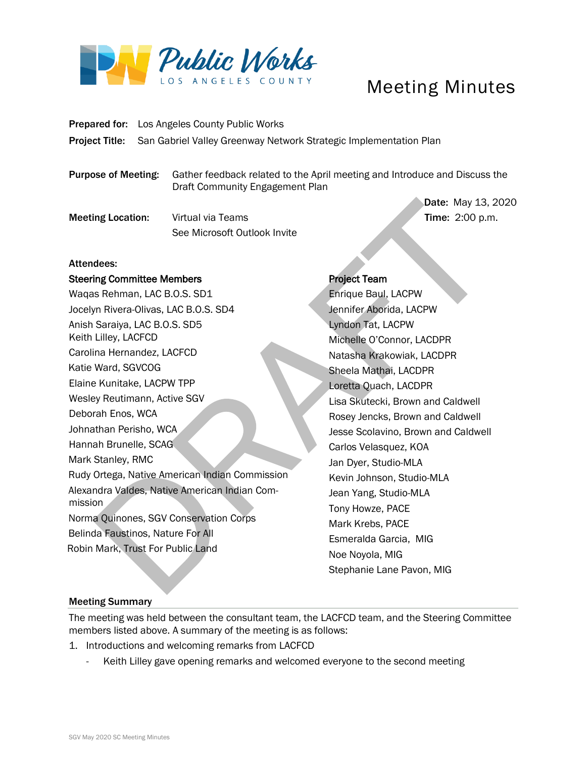

# Meeting Minutes

Prepared for: Los Angeles County Public Works

Project Title: San Gabriel Valley Greenway Network Strategic Implementation Plan

Purpose of Meeting: Gather feedback related to the April meeting and Introduce and Discuss the Draft Community Engagement Plan

Meeting Location: Virtual via Teams Time: 2:00 p.m. See Microsoft Outlook Invite

Date: May 13, 2020

## Attendees:

### Steering Committee Members

Waqas Rehman, LAC B.O.S. SD1 Jocelyn Rivera-Olivas, LAC B.O.S. SD4 Anish Saraiya, LAC B.O.S. SD5 Keith Lilley, LACFCD Carolina Hernandez, LACFCD Katie Ward, SGVCOG Elaine Kunitake, LACPW TPP Wesley Reutimann, Active SGV Deborah Enos, WCA Johnathan Perisho, WCA Hannah Brunelle, SCAG Mark Stanley, RMC Rudy Ortega, Native American Indian Commission Alexandra Valdes, Native American Indian Commission Norma Quinones, SGV Conservation Corps Belinda Faustinos, Nature For All Robin Mark, Trust For Public Land

### Project Team

 Enrique Baul, LACPW Jennifer Aborida, LACPW Lyndon Tat, LACPW Michelle O'Connor, LACDPR Natasha Krakowiak, LACDPR Sheela Mathai, LACDPR Loretta Quach, LACDPR Lisa Skutecki, Brown and Caldwell Rosey Jencks, Brown and Caldwell Jesse Scolavino, Brown and Caldwell Carlos Velasquez, KOA Jan Dyer, Studio-MLA Kevin Johnson, Studio-MLA Jean Yang, Studio-MLA Tony Howze, PACE Mark Krebs, PACE Esmeralda Garcia, MIG Noe Noyola, MIG Stephanie Lane Pavon, MIG

### Meeting Summary

The meeting was held between the consultant team, the LACFCD team, and the Steering Committee members listed above. A summary of the meeting is as follows:

1. Introductions and welcoming remarks from LACFCD

- Keith Lilley gave opening remarks and welcomed everyone to the second meeting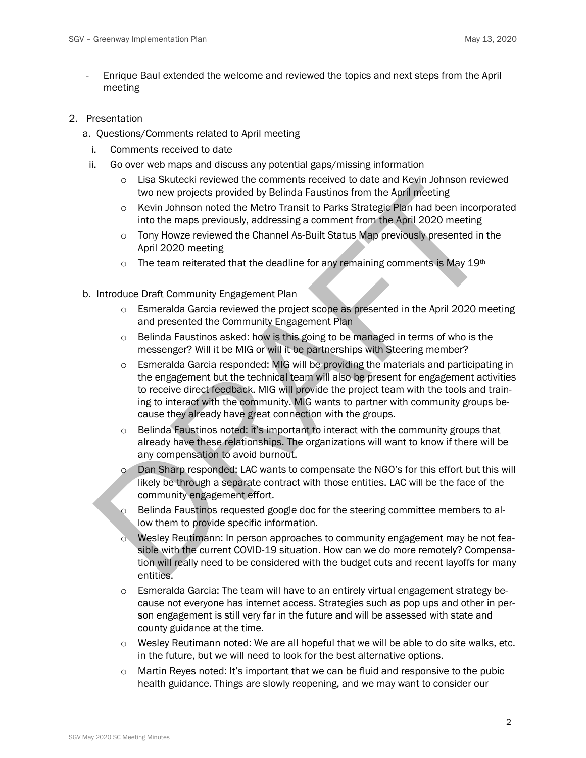- Enrique Baul extended the welcome and reviewed the topics and next steps from the April meeting
- 2. Presentation
	- a. Questions/Comments related to April meeting
		- i. Comments received to date
	- ii. Go over web maps and discuss any potential gaps/missing information
		- o Lisa Skutecki reviewed the comments received to date and Kevin Johnson reviewed two new projects provided by Belinda Faustinos from the April meeting
		- o Kevin Johnson noted the Metro Transit to Parks Strategic Plan had been incorporated into the maps previously, addressing a comment from the April 2020 meeting
		- $\circ$  Tony Howze reviewed the Channel As-Built Status Map previously presented in the April 2020 meeting
		- $\circ$  The team reiterated that the deadline for any remaining comments is May 19th
	- b. Introduce Draft Community Engagement Plan
		- $\circ$  Esmeralda Garcia reviewed the project scope as presented in the April 2020 meeting and presented the Community Engagement Plan
		- o Belinda Faustinos asked: how is this going to be managed in terms of who is the messenger? Will it be MIG or will it be partnerships with Steering member?
		- $\circ$  Esmeralda Garcia responded: MIG will be providing the materials and participating in the engagement but the technical team will also be present for engagement activities to receive direct feedback. MIG will provide the project team with the tools and training to interact with the community. MIG wants to partner with community groups because they already have great connection with the groups.
		- $\circ$  Belinda Faustinos noted: it's important to interact with the community groups that already have these relationships. The organizations will want to know if there will be any compensation to avoid burnout.
		- o Dan Sharp responded: LAC wants to compensate the NGO's for this effort but this will likely be through a separate contract with those entities. LAC will be the face of the community engagement effort.
		- Belinda Faustinos requested google doc for the steering committee members to allow them to provide specific information.
		- o Wesley Reutimann: In person approaches to community engagement may be not feasible with the current COVID-19 situation. How can we do more remotely? Compensation will really need to be considered with the budget cuts and recent layoffs for many entities.
		- $\circ$  Esmeralda Garcia: The team will have to an entirely virtual engagement strategy because not everyone has internet access. Strategies such as pop ups and other in person engagement is still very far in the future and will be assessed with state and county guidance at the time.
		- $\circ$  Wesley Reutimann noted: We are all hopeful that we will be able to do site walks, etc. in the future, but we will need to look for the best alternative options.
		- $\circ$  Martin Reyes noted: It's important that we can be fluid and responsive to the pubic health guidance. Things are slowly reopening, and we may want to consider our